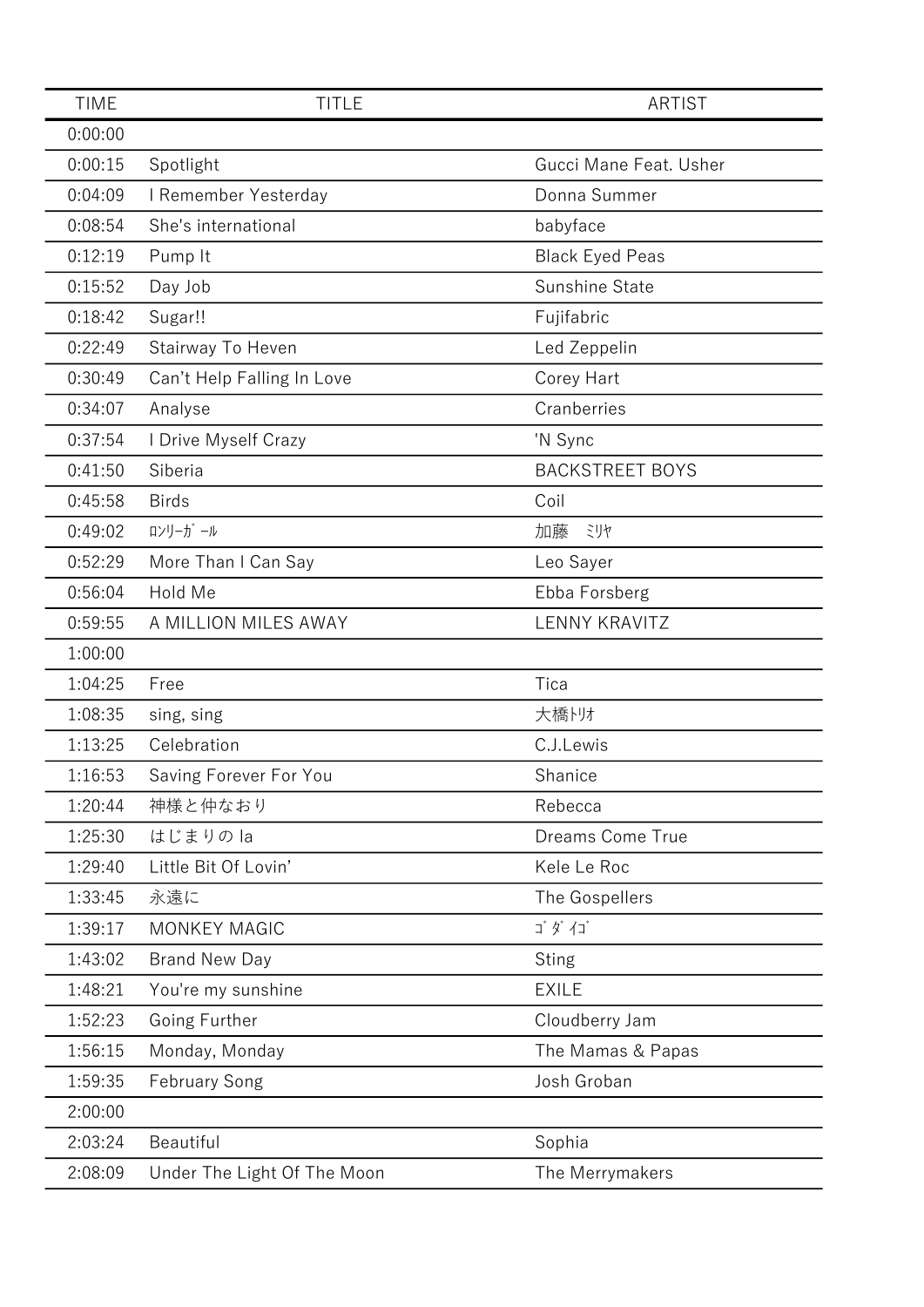| <b>TIME</b> | <b>TITLE</b>                | <b>ARTIST</b>          |
|-------------|-----------------------------|------------------------|
| 0:00:00     |                             |                        |
| 0:00:15     | Spotlight                   | Gucci Mane Feat. Usher |
| 0:04:09     | I Remember Yesterday        | Donna Summer           |
| 0:08:54     | She's international         | babyface               |
| 0:12:19     | Pump It                     | <b>Black Eyed Peas</b> |
| 0:15:52     | Day Job                     | Sunshine State         |
| 0:18:42     | Sugar!!                     | Fujifabric             |
| 0:22:49     | Stairway To Heven           | Led Zeppelin           |
| 0:30:49     | Can't Help Falling In Love  | Corey Hart             |
| 0:34:07     | Analyse                     | Cranberries            |
| 0:37:54     | I Drive Myself Crazy        | 'N Sync                |
| 0:41:50     | Siberia                     | <b>BACKSTREET BOYS</b> |
| 0:45:58     | <b>Birds</b>                | Coil                   |
| 0:49:02     | ロンリーガール                     | 加藤<br>ミリヤ              |
| 0:52:29     | More Than I Can Say         | Leo Sayer              |
| 0:56:04     | Hold Me                     | Ebba Forsberg          |
| 0:59:55     | A MILLION MILES AWAY        | <b>LENNY KRAVITZ</b>   |
| 1:00:00     |                             |                        |
| 1:04:25     | Free                        | Tica                   |
| 1:08:35     | sing, sing                  | 大橋トリオ                  |
| 1:13:25     | Celebration                 | C.J.Lewis              |
| 1:16:53     | Saving Forever For You      | Shanice                |
| 1:20:44     | 神様と仲なおり                     | Rebecca                |
| 1:25:30     | はじまりのla                     | Dreams Come True       |
| 1:29:40     | Little Bit Of Lovin'        | Kele Le Roc            |
| 1:33:45     | 永遠に                         | The Gospellers         |
| 1:39:17     | <b>MONKEY MAGIC</b>         | ゴダイゴ                   |
| 1:43:02     | <b>Brand New Day</b>        | <b>Sting</b>           |
| 1:48:21     | You're my sunshine          | <b>EXILE</b>           |
| 1:52:23     | Going Further               | Cloudberry Jam         |
| 1:56:15     | Monday, Monday              | The Mamas & Papas      |
| 1:59:35     | <b>February Song</b>        | Josh Groban            |
| 2:00:00     |                             |                        |
| 2:03:24     | Beautiful                   | Sophia                 |
| 2:08:09     | Under The Light Of The Moon | The Merrymakers        |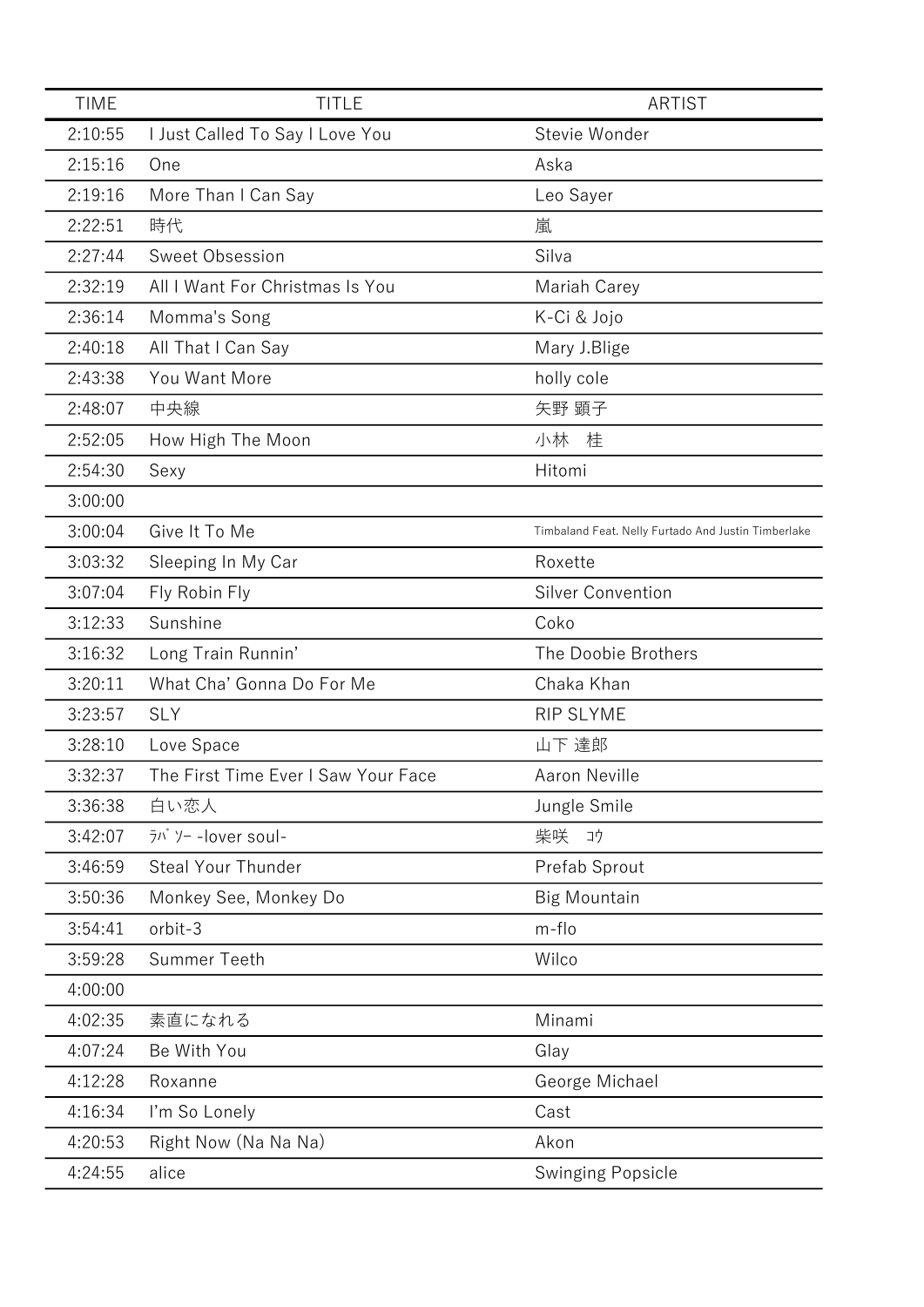| <b>TIME</b> | <b>TITLE</b>                                                               | <b>ARTIST</b>                                       |
|-------------|----------------------------------------------------------------------------|-----------------------------------------------------|
| 2:10:55     | I Just Called To Say I Love You                                            | Stevie Wonder                                       |
| 2:15:16     | One                                                                        | Aska                                                |
| 2:19:16     | More Than I Can Say                                                        | Leo Sayer                                           |
| 2:22:51     | 時代                                                                         | 嵐                                                   |
| 2:27:44     | Sweet Obsession                                                            | Silva                                               |
| 2:32:19     | All I Want For Christmas Is You                                            | Mariah Carey                                        |
| 2:36:14     | Momma's Song                                                               | K-Ci & Jojo                                         |
| 2:40:18     | All That I Can Say                                                         | Mary J.Blige                                        |
| 2:43:38     | You Want More                                                              | holly cole                                          |
| 2:48:07     | 中央線                                                                        | 矢野 顕子                                               |
| 2:52:05     | How High The Moon                                                          | 小林<br>桂                                             |
| 2:54:30     | Sexy                                                                       | Hitomi                                              |
| 3:00:00     |                                                                            |                                                     |
| 3:00:04     | Give It To Me                                                              | Timbaland Feat. Nelly Furtado And Justin Timberlake |
| 3:03:32     | Sleeping In My Car                                                         | Roxette                                             |
| 3:07:04     | Fly Robin Fly                                                              | <b>Silver Convention</b>                            |
| 3:12:33     | Sunshine                                                                   | Coko                                                |
| 3:16:32     | Long Train Runnin'                                                         | The Doobie Brothers                                 |
| 3:20:11     | What Cha' Gonna Do For Me                                                  | Chaka Khan                                          |
| 3:23:57     | <b>SLY</b>                                                                 | RIP SLYME                                           |
| 3:28:10     | Love Space                                                                 | 山下 達郎                                               |
| 3:32:37     | The First Time Ever I Saw Your Face                                        | <b>Aaron Neville</b>                                |
| 3:36:38     | 白い恋人                                                                       | Jungle Smile                                        |
| 3:42:07     | $\bar{7}$ <sup><math>\bar{7}</math></sup> $\bar{7}$ $\bar{7}$ -lover soul- | 柴咲<br>コウ                                            |
| 3:46:59     | Steal Your Thunder                                                         | Prefab Sprout                                       |
| 3:50:36     | Monkey See, Monkey Do                                                      | <b>Big Mountain</b>                                 |
| 3:54:41     | orbit-3                                                                    | m-flo                                               |
| 3:59:28     | Summer Teeth                                                               | Wilco                                               |
| 4:00:00     |                                                                            |                                                     |
| 4:02:35     | 素直になれる                                                                     | Minami                                              |
| 4:07:24     | Be With You                                                                | Glay                                                |
| 4:12:28     | Roxanne                                                                    | George Michael                                      |
| 4:16:34     | I'm So Lonely                                                              | Cast                                                |
| 4:20:53     | Right Now (Na Na Na)                                                       | Akon                                                |
| 4:24:55     | alice                                                                      | <b>Swinging Popsicle</b>                            |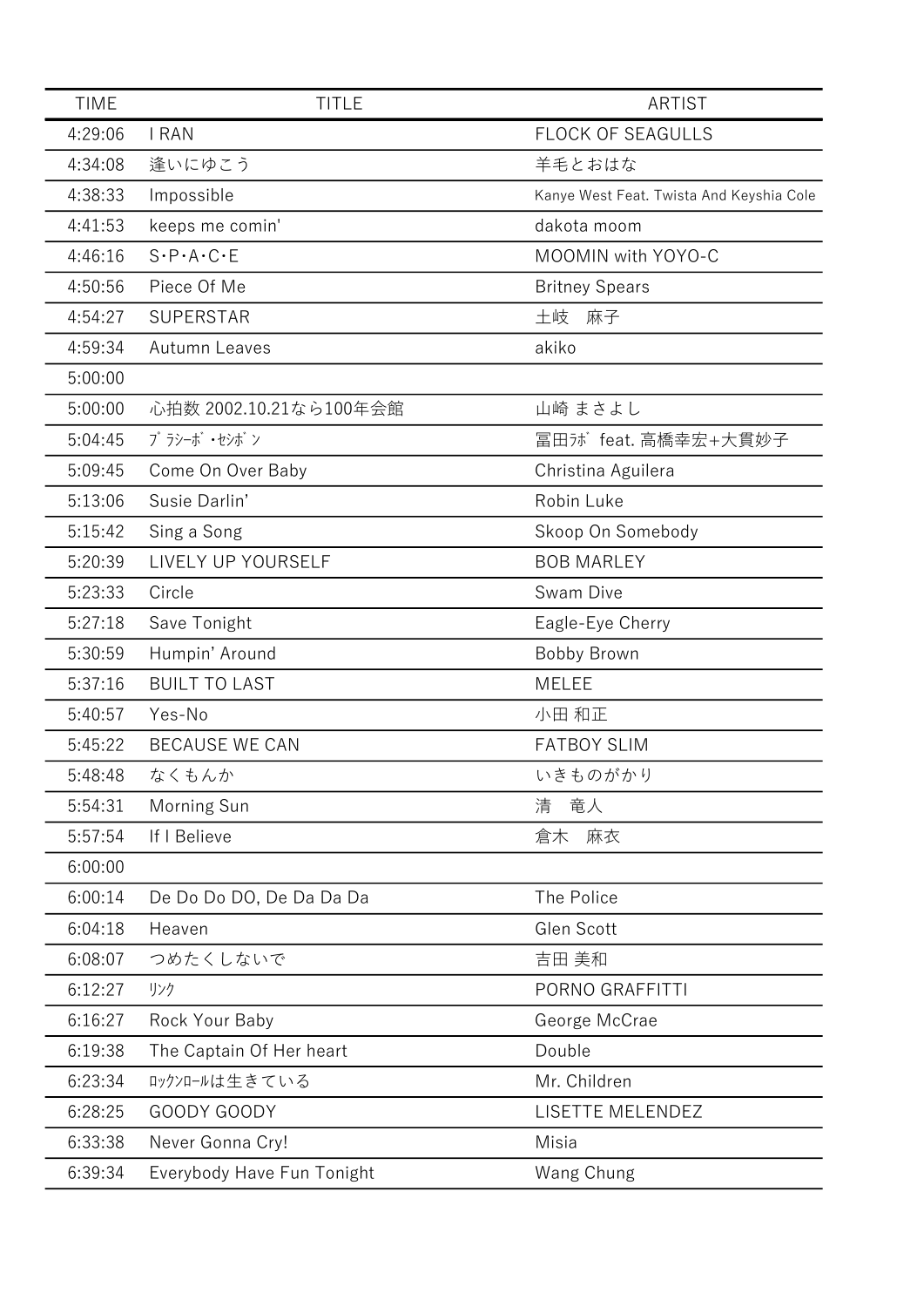| <b>TIME</b> | <b>TITLE</b>                        | <b>ARTIST</b>                            |
|-------------|-------------------------------------|------------------------------------------|
| 4:29:06     | <b>I RAN</b>                        | <b>FLOCK OF SEAGULLS</b>                 |
| 4:34:08     | 逢いにゆこう                              | 羊毛とおはな                                   |
| 4:38:33     | Impossible                          | Kanye West Feat. Twista And Keyshia Cole |
| 4:41:53     | keeps me comin'                     | dakota moom                              |
| 4:46:16     | $S \cdot P \cdot A \cdot C \cdot E$ | MOOMIN with YOYO-C                       |
| 4:50:56     | Piece Of Me                         | <b>Britney Spears</b>                    |
| 4:54:27     | <b>SUPERSTAR</b>                    | 土岐<br>麻子                                 |
| 4:59:34     | <b>Autumn Leaves</b>                | akiko                                    |
| 5:00:00     |                                     |                                          |
| 5:00:00     | 心拍数 2002.10.21なら100年会館              | 山崎 まさよし                                  |
| 5:04:45     | プラシーボ ・セシボン                         | 冨田ji feat. 高橋幸宏+大貫妙子                     |
| 5:09:45     | Come On Over Baby                   | Christina Aguilera                       |
| 5:13:06     | Susie Darlin'                       | Robin Luke                               |
| 5:15:42     | Sing a Song                         | Skoop On Somebody                        |
| 5:20:39     | LIVELY UP YOURSELF                  | <b>BOB MARLEY</b>                        |
| 5:23:33     | Circle                              | Swam Dive                                |
| 5:27:18     | Save Tonight                        | Eagle-Eye Cherry                         |
| 5:30:59     | Humpin' Around                      | Bobby Brown                              |
| 5:37:16     | <b>BUILT TO LAST</b>                | <b>MELEE</b>                             |
| 5:40:57     | Yes-No                              | 小田 和正                                    |
| 5:45:22     | <b>BECAUSE WE CAN</b>               | <b>FATBOY SLIM</b>                       |
| 5:48:48     | なくもんか                               | いきものがかり                                  |
| 5:54:31     | Morning Sun                         | 清<br>竜人                                  |
| 5:57:54     | If I Believe                        | 麻衣<br>倉木                                 |
| 6:00:00     |                                     |                                          |
| 6:00:14     | De Do Do DO, De Da Da Da            | The Police                               |
| 6:04:18     | Heaven                              | Glen Scott                               |
| 6:08:07     | つめたくしないで                            | 吉田 美和                                    |
| 6:12:27     | リンク                                 | PORNO GRAFFITTI                          |
| 6:16:27     | Rock Your Baby                      | George McCrae                            |
| 6:19:38     | The Captain Of Her heart            | Double                                   |
| 6:23:34     | ロックンロールは生きている                       | Mr. Children                             |
| 6:28:25     | GOODY GOODY                         | LISETTE MELENDEZ                         |
| 6:33:38     | Never Gonna Cry!                    | Misia                                    |
| 6:39:34     | Everybody Have Fun Tonight          | Wang Chung                               |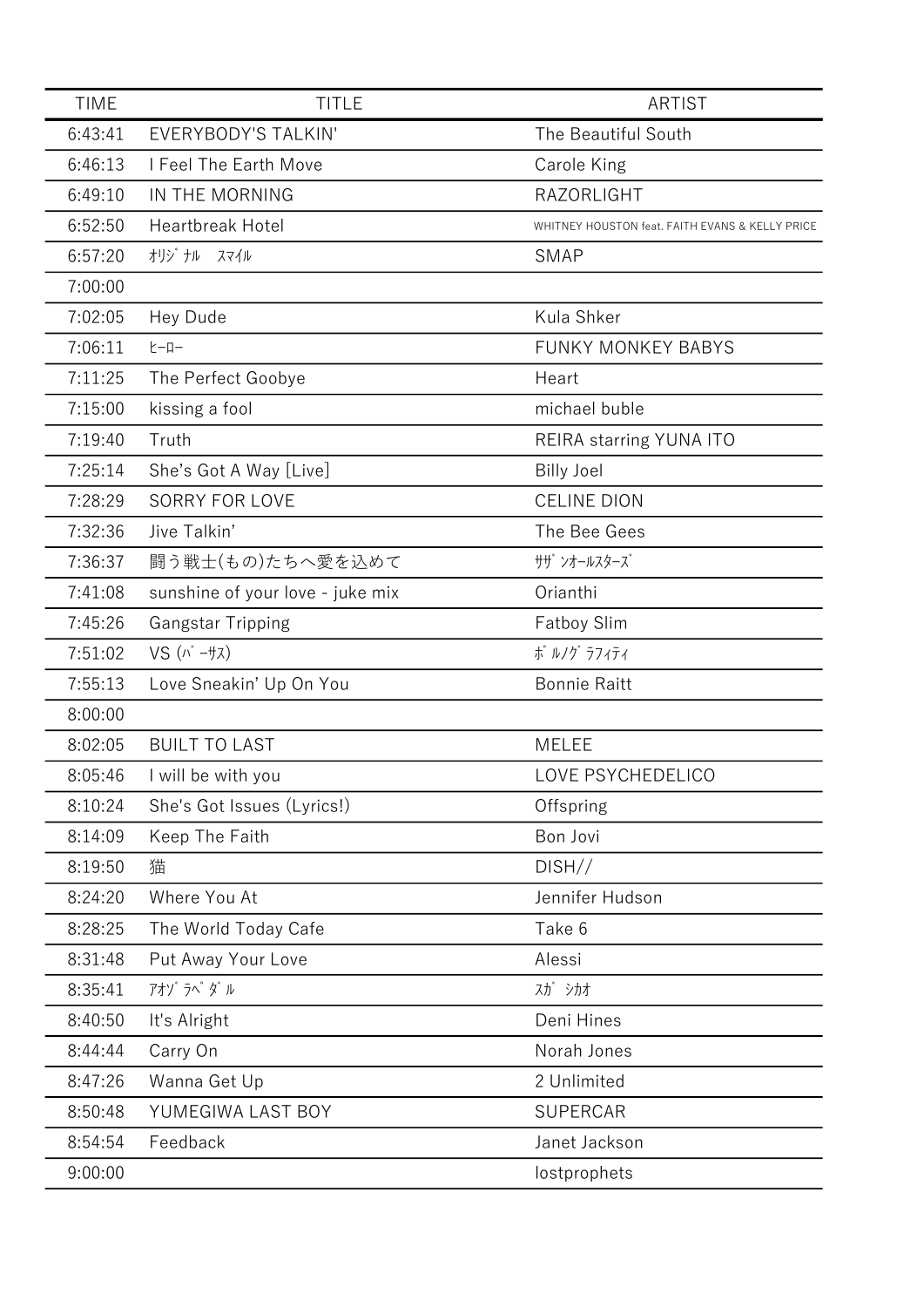| <b>TIME</b> | <b>TITLE</b>                     | <b>ARTIST</b>                                   |
|-------------|----------------------------------|-------------------------------------------------|
| 6:43:41     | <b>EVERYBODY'S TALKIN'</b>       | The Beautiful South                             |
| 6:46:13     | I Feel The Earth Move            | Carole King                                     |
| 6:49:10     | IN THE MORNING                   | <b>RAZORLIGHT</b>                               |
| 6:52:50     | Heartbreak Hotel                 | WHITNEY HOUSTON feat. FAITH EVANS & KELLY PRICE |
| 6:57:20     | オリジ ナル スマイル                      | <b>SMAP</b>                                     |
| 7:00:00     |                                  |                                                 |
| 7:02:05     | Hey Dude                         | Kula Shker                                      |
| 7:06:11     | <b>ヒーロー</b>                      | <b>FUNKY MONKEY BABYS</b>                       |
| 7:11:25     | The Perfect Goobye               | Heart                                           |
| 7:15:00     | kissing a fool                   | michael buble                                   |
| 7:19:40     | Truth                            | REIRA starring YUNA ITO                         |
| 7:25:14     | She's Got A Way [Live]           | <b>Billy Joel</b>                               |
| 7:28:29     | <b>SORRY FOR LOVE</b>            | <b>CELINE DION</b>                              |
| 7:32:36     | Jive Talkin'                     | The Bee Gees                                    |
| 7:36:37     | 闘う戦士(もの)たちへ愛を込めて                 | サザ ンオールスターズ                                     |
| 7:41:08     | sunshine of your love - juke mix | Orianthi                                        |
| 7:45:26     | <b>Gangstar Tripping</b>         | <b>Fatboy Slim</b>                              |
| 7:51:02     | $VS$ $(N - \frac{1}{2}\lambda)$  | ポ ルノグ ラフィティ                                     |
| 7:55:13     | Love Sneakin' Up On You          | <b>Bonnie Raitt</b>                             |
| 8:00:00     |                                  |                                                 |
| 8:02:05     | <b>BUILT TO LAST</b>             | <b>MELEE</b>                                    |
| 8:05:46     | I will be with you               | LOVE PSYCHEDELICO                               |
| 8:10:24     | She's Got Issues (Lyrics!)       | Offspring                                       |
| 8:14:09     | Keep The Faith                   | Bon Jovi                                        |
| 8:19:50     | 猫                                | DISH//                                          |
| 8:24:20     | Where You At                     | Jennifer Hudson                                 |
| 8:28:25     | The World Today Cafe             | Take 6                                          |
| 8:31:48     | Put Away Your Love               | Alessi                                          |
| 8:35:41     | アオゾ ラペ ダル                        | スガ シカオ                                          |
| 8:40:50     | It's Alright                     | Deni Hines                                      |
| 8:44:44     | Carry On                         | Norah Jones                                     |
| 8:47:26     | Wanna Get Up                     | 2 Unlimited                                     |
| 8:50:48     | YUMEGIWA LAST BOY                | <b>SUPERCAR</b>                                 |
| 8:54:54     | Feedback                         | Janet Jackson                                   |
| 9:00:00     |                                  | lostprophets                                    |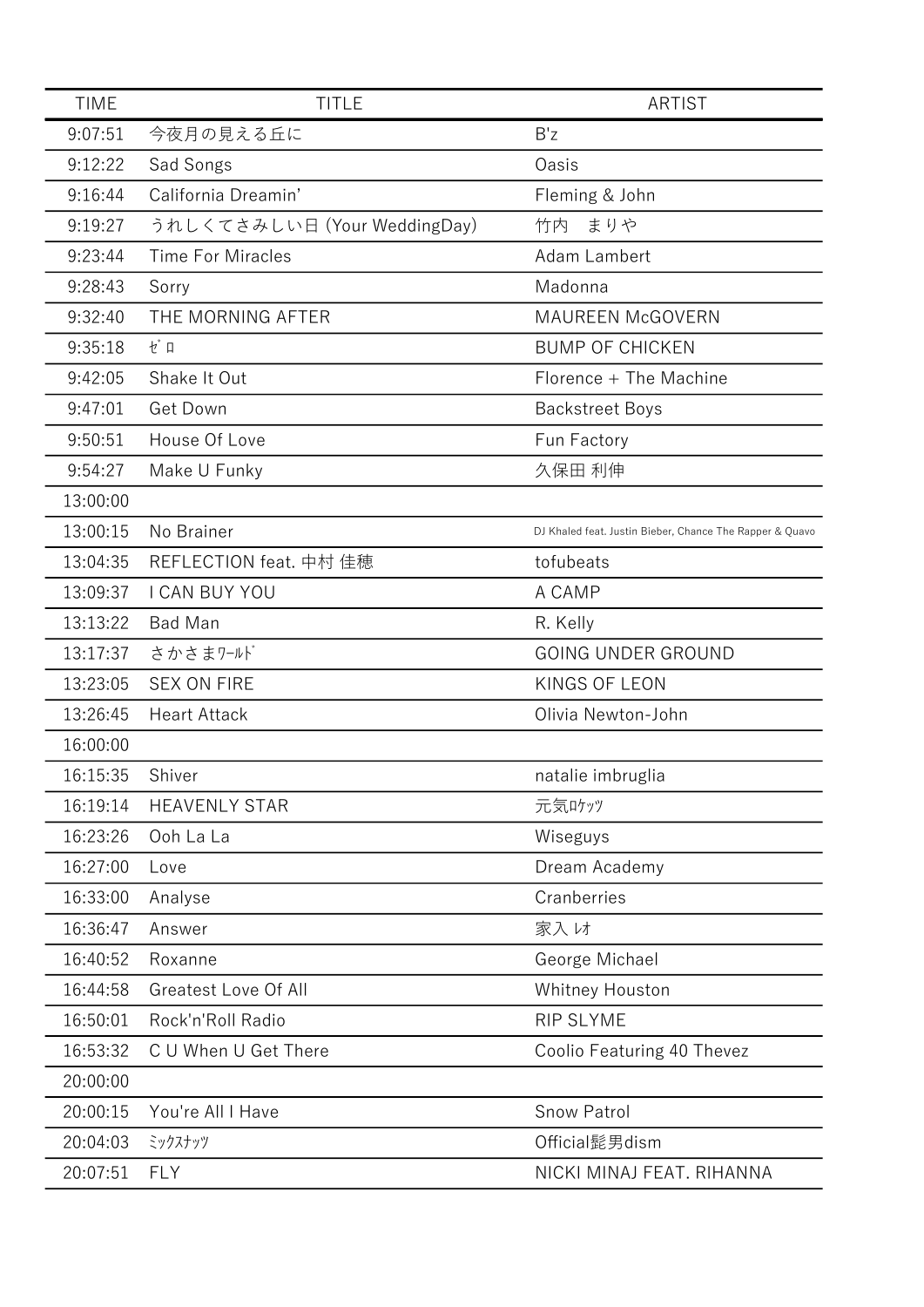| <b>TIME</b> | <b>TITLE</b>                 | <b>ARTIST</b>                                            |
|-------------|------------------------------|----------------------------------------------------------|
| 9:07:51     | 今夜月の見える丘に                    | B'z                                                      |
| 9:12:22     | Sad Songs                    | Oasis                                                    |
| 9:16:44     | California Dreamin'          | Fleming & John                                           |
| 9:19:27     | うれしくてさみしい日 (Your WeddingDay) | まりや<br>竹内                                                |
| 9:23:44     | <b>Time For Miracles</b>     | Adam Lambert                                             |
| 9:28:43     | Sorry                        | Madonna                                                  |
| 9:32:40     | THE MORNING AFTER            | <b>MAUREEN McGOVERN</b>                                  |
| 9:35:18     | ゼロ                           | <b>BUMP OF CHICKEN</b>                                   |
| 9:42:05     | Shake It Out                 | Florence + The Machine                                   |
| 9:47:01     | Get Down                     | <b>Backstreet Boys</b>                                   |
| 9:50:51     | House Of Love                | Fun Factory                                              |
| 9:54:27     | Make U Funky                 | 久保田 利伸                                                   |
| 13:00:00    |                              |                                                          |
| 13:00:15    | No Brainer                   | DJ Khaled feat. Justin Bieber, Chance The Rapper & Quavo |
| 13:04:35    | REFLECTION feat. 中村 佳穂       | tofubeats                                                |
| 13:09:37    | I CAN BUY YOU                | A CAMP                                                   |
| 13:13:22    | <b>Bad Man</b>               | R. Kelly                                                 |
| 13:17:37    | さかさまワールド                     | <b>GOING UNDER GROUND</b>                                |
| 13:23:05    | <b>SEX ON FIRE</b>           | KINGS OF LEON                                            |
| 13:26:45    | <b>Heart Attack</b>          | Olivia Newton-John                                       |
| 16:00:00    |                              |                                                          |
| 16:15:35    | Shiver                       | natalie imbruglia                                        |
| 16:19:14    | <b>HEAVENLY STAR</b>         | 元気ロケッツ                                                   |
| 16:23:26    | Ooh La La                    | Wiseguys                                                 |
| 16:27:00    | Love                         | Dream Academy                                            |
| 16:33:00    | Analyse                      | Cranberries                                              |
| 16:36:47    | Answer                       | 家入け                                                      |
| 16:40:52    | Roxanne                      | George Michael                                           |
| 16:44:58    | <b>Greatest Love Of All</b>  | Whitney Houston                                          |
| 16:50:01    | Rock'n'Roll Radio            | <b>RIP SLYME</b>                                         |
| 16:53:32    | C U When U Get There         | Coolio Featuring 40 Thevez                               |
| 20:00:00    |                              |                                                          |
| 20:00:15    | You're All I Have            | <b>Snow Patrol</b>                                       |
| 20:04:03    | ミックスナッツ                      | Official髭男dism                                           |
| 20:07:51    | <b>FLY</b>                   | NICKI MINAJ FEAT. RIHANNA                                |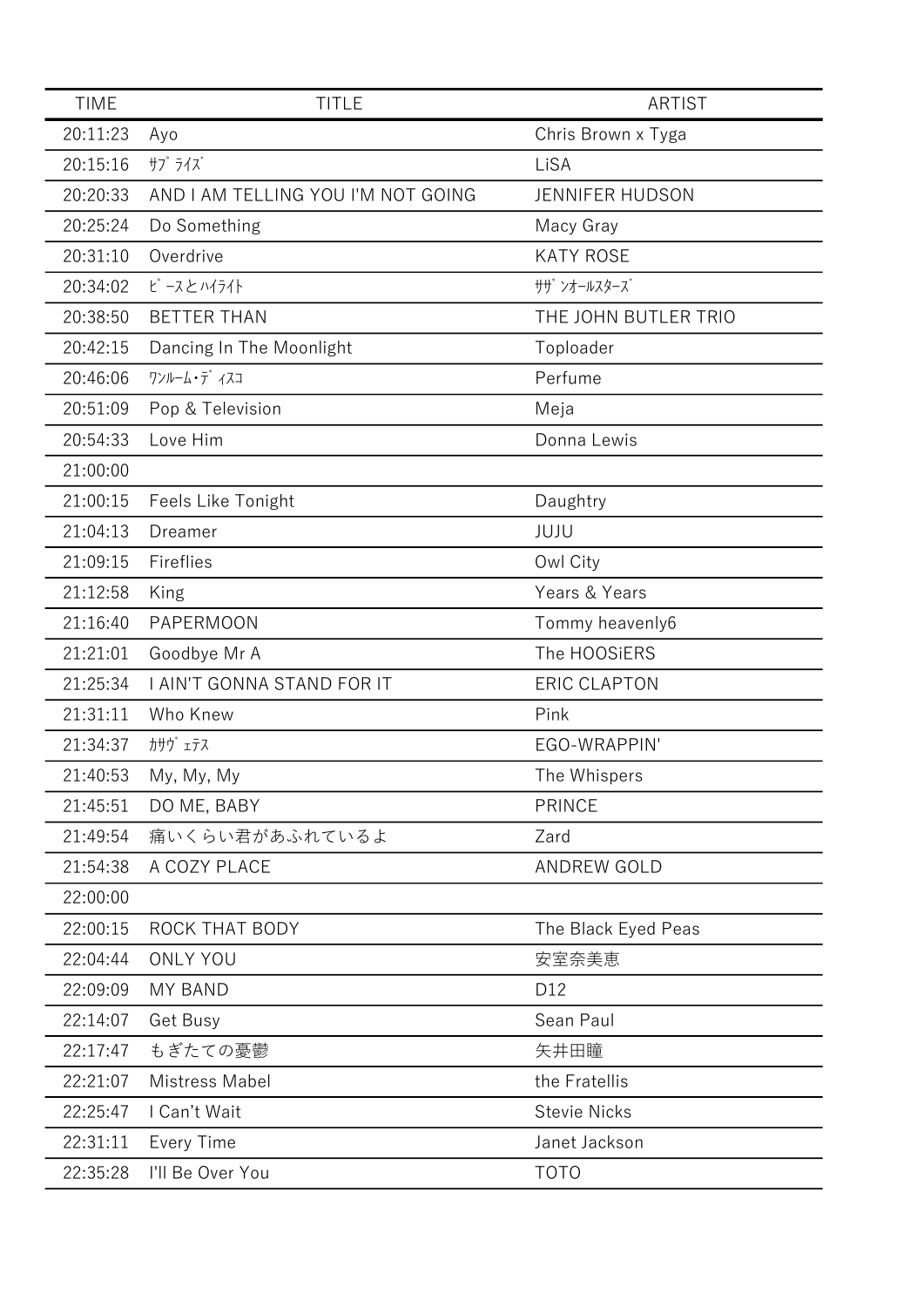| <b>TIME</b> | <b>TITLE</b>                       | <b>ARTIST</b>          |
|-------------|------------------------------------|------------------------|
| 20:11:23    | Ayo                                | Chris Brown x Tyga     |
| 20:15:16    | サプライズ                              | LiSA                   |
| 20:20:33    | AND I AM TELLING YOU I'M NOT GOING | <b>JENNIFER HUDSON</b> |
| 20:25:24    | Do Something                       | Macy Gray              |
| 20:31:10    | Overdrive                          | <b>KATY ROSE</b>       |
| 20:34:02    | ピースとハイライト                          | サザ゛ンオールスターズ゛           |
| 20:38:50    | <b>BETTER THAN</b>                 | THE JOHN BUTLER TRIO   |
| 20:42:15    | Dancing In The Moonlight           | Toploader              |
| 20:46:06    | ワンルーム・デ イスコ                        | Perfume                |
| 20:51:09    | Pop & Television                   | Meja                   |
| 20:54:33    | Love Him                           | Donna Lewis            |
| 21:00:00    |                                    |                        |
| 21:00:15    | Feels Like Tonight                 | Daughtry               |
| 21:04:13    | Dreamer                            | JUJU                   |
| 21:09:15    | Fireflies                          | Owl City               |
| 21:12:58    | King                               | Years & Years          |
| 21:16:40    | PAPERMOON                          | Tommy heavenly6        |
| 21:21:01    | Goodbye Mr A                       | The HOOSiERS           |
| 21:25:34    | I AIN'T GONNA STAND FOR IT         | <b>ERIC CLAPTON</b>    |
| 21:31:11    | Who Knew                           | Pink                   |
| 21:34:37    | カサウ゛ェテス                            | EGO-WRAPPIN'           |
| 21:40:53    | My, My, My                         | The Whispers           |
| 21:45:51    | DO ME, BABY                        | <b>PRINCE</b>          |
| 21:49:54    | 痛いくらい君があふれているよ                     | Zard                   |
| 21:54:38    | A COZY PLACE                       | <b>ANDREW GOLD</b>     |
| 22:00:00    |                                    |                        |
| 22:00:15    | ROCK THAT BODY                     | The Black Eyed Peas    |
| 22:04:44    | <b>ONLY YOU</b>                    | 安室奈美恵                  |
| 22:09:09    | <b>MY BAND</b>                     | D12                    |
| 22:14:07    | Get Busy                           | Sean Paul              |
| 22:17:47    | もぎたての憂鬱                            | 矢井田瞳                   |
| 22:21:07    | Mistress Mabel                     | the Fratellis          |
| 22:25:47    | I Can't Wait                       | <b>Stevie Nicks</b>    |
| 22:31:11    | <b>Every Time</b>                  | Janet Jackson          |
| 22:35:28    | I'll Be Over You                   | <b>TOTO</b>            |